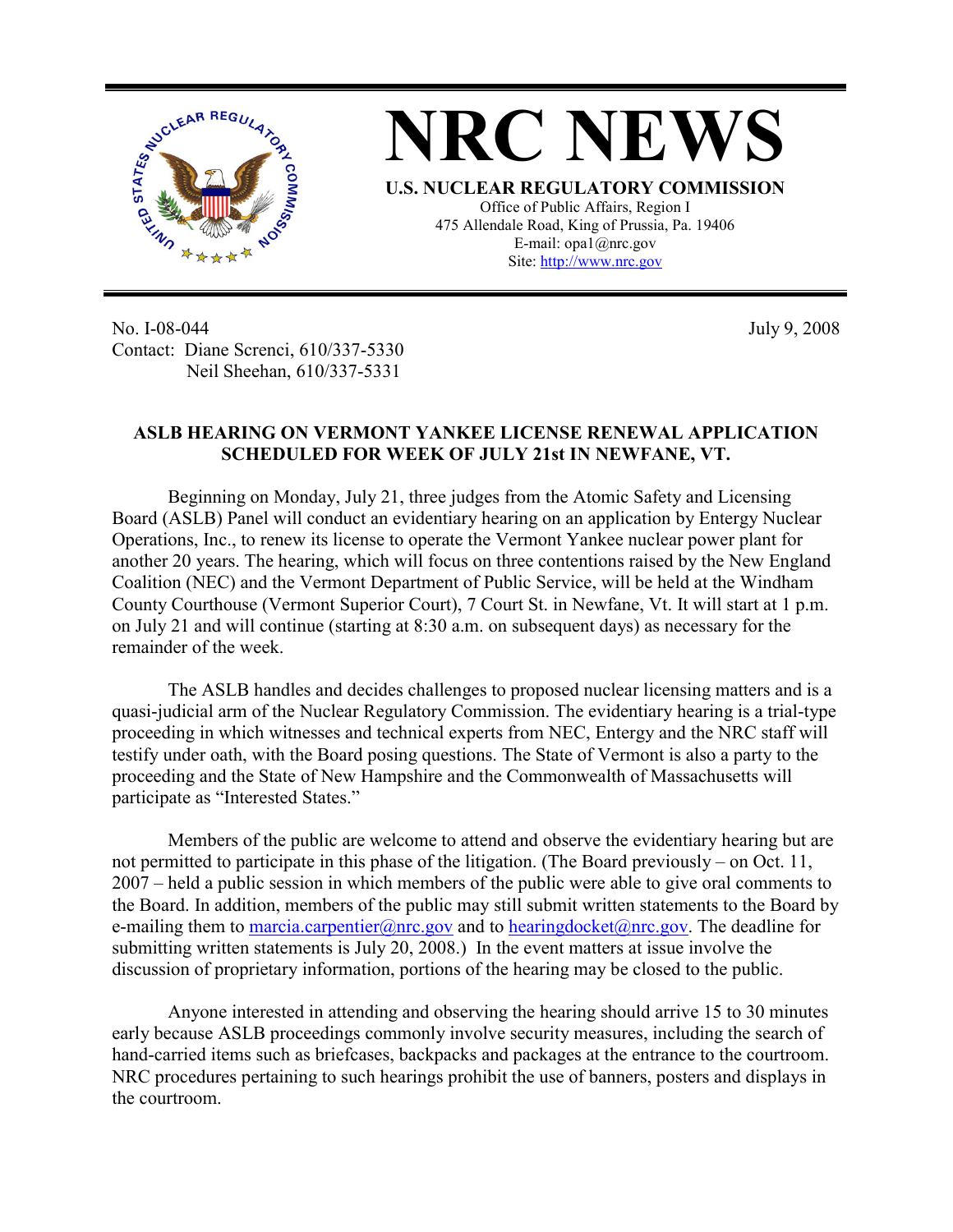

No. I-08-044 Contact: Diane Screnci, 610/337-5330 Neil Sheehan, 610/337-5331

July 9, 2008

## **ASLB HEARING ON VERMONT YANKEE LICENSE RENEWAL APPLICATION SCHEDULED FOR WEEK OF JULY 21st IN NEWFANE, VT.**

Beginning on Monday, July 21, three judges from the Atomic Safety and Licensing Board (ASLB) Panel will conduct an evidentiary hearing on an application by Entergy Nuclear Operations, Inc., to renew its license to operate the Vermont Yankee nuclear power plant for another 20 years. The hearing, which will focus on three contentions raised by the New England Coalition (NEC) and the Vermont Department of Public Service, will be held at the Windham County Courthouse (Vermont Superior Court), 7 Court St. in Newfane, Vt. It will start at 1 p.m. on July 21 and will continue (starting at 8:30 a.m. on subsequent days) as necessary for the remainder of the week.

The ASLB handles and decides challenges to proposed nuclear licensing matters and is a quasi-judicial arm of the Nuclear Regulatory Commission. The evidentiary hearing is a trial-type proceeding in which witnesses and technical experts from NEC, Entergy and the NRC staff will testify under oath, with the Board posing questions. The State of Vermont is also a party to the proceeding and the State of New Hampshire and the Commonwealth of Massachusetts will participate as "Interested States."

Members of the public are welcome to attend and observe the evidentiary hearing but are not permitted to participate in this phase of the litigation. (The Board previously – on Oct. 11, 2007 – held a public session in which members of the public were able to give oral comments to the Board. In addition, members of the public may still submit written statements to the Board by e-mailing them to marcia.carpentier@nrc.gov and to hearingdocket@nrc.gov. The deadline for submitting written statements is July 20, 2008.) In the event matters at issue involve the discussion of proprietary information, portions of the hearing may be closed to the public.

Anyone interested in attending and observing the hearing should arrive 15 to 30 minutes early because ASLB proceedings commonly involve security measures, including the search of hand-carried items such as briefcases, backpacks and packages at the entrance to the courtroom. NRC procedures pertaining to such hearings prohibit the use of banners, posters and displays in the courtroom.